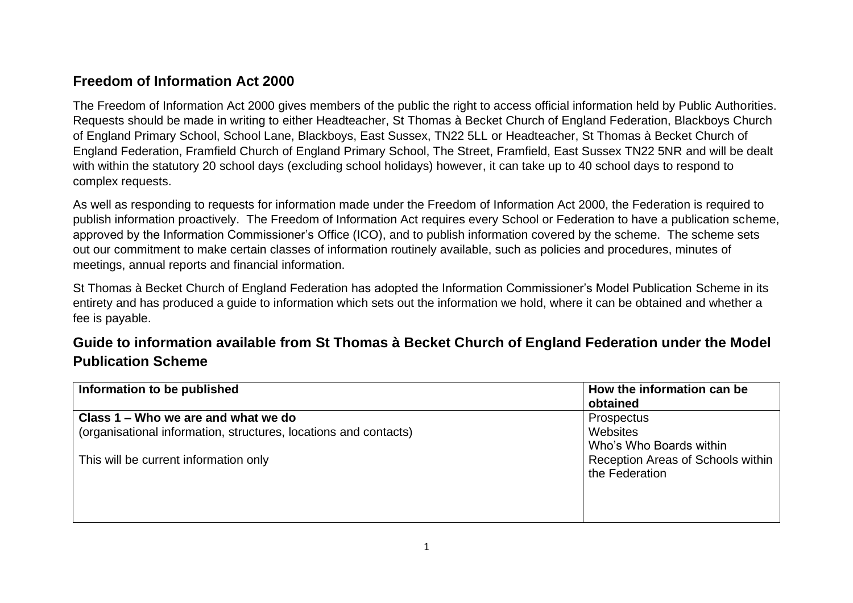## **Freedom of Information Act 2000**

The Freedom of Information Act 2000 gives members of the public the right to access official information held by Public Authorities. Requests should be made in writing to either Headteacher, St Thomas à Becket Church of England Federation, Blackboys Church of England Primary School, School Lane, Blackboys, East Sussex, TN22 5LL or Headteacher, St Thomas à Becket Church of England Federation, Framfield Church of England Primary School, The Street, Framfield, East Sussex TN22 5NR and will be dealt with within the statutory 20 school days (excluding school holidays) however, it can take up to 40 school days to respond to complex requests.

As well as responding to requests for information made under the Freedom of Information Act 2000, the Federation is required to publish information proactively. The Freedom of Information Act requires every School or Federation to have a publication scheme, approved by the Information Commissioner's Office (ICO), and to publish information covered by the scheme. The scheme sets out our commitment to make certain classes of information routinely available, such as policies and procedures, minutes of meetings, annual reports and financial information.

St Thomas à Becket Church of England Federation has adopted the Information Commissioner's Model Publication Scheme in its entirety and has produced a guide to information which sets out the information we hold, where it can be obtained and whether a fee is payable.

## **Guide to information available from St Thomas à Becket Church of England Federation under the Model Publication Scheme**

| Information to be published                                                                             | How the information can be<br>obtained                   |
|---------------------------------------------------------------------------------------------------------|----------------------------------------------------------|
| Class 1 – Who we are and what we do<br>(organisational information, structures, locations and contacts) | <b>Prospectus</b><br>Websites<br>Who's Who Boards within |
| This will be current information only                                                                   | Reception Areas of Schools within<br>the Federation      |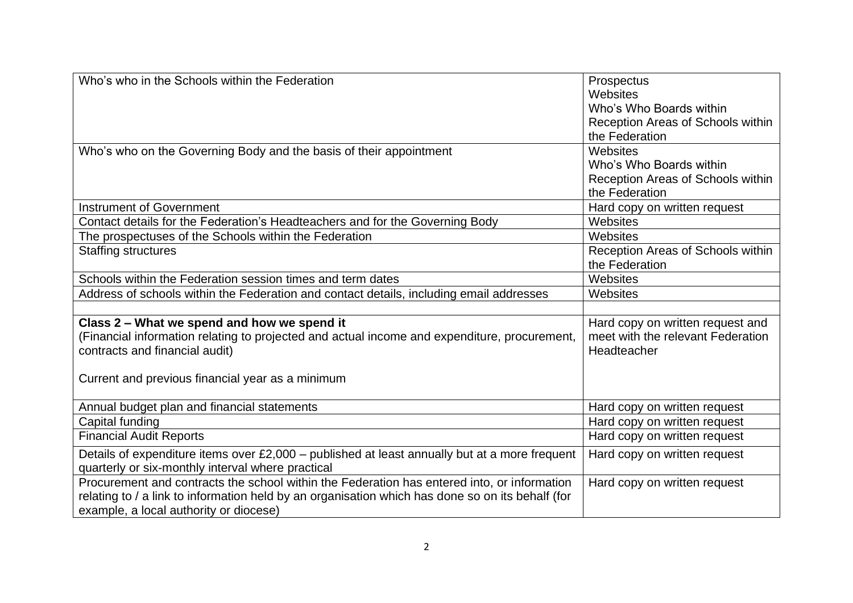| Who's who in the Schools within the Federation                                                   | Prospectus                        |
|--------------------------------------------------------------------------------------------------|-----------------------------------|
|                                                                                                  | Websites                          |
|                                                                                                  | Who's Who Boards within           |
|                                                                                                  | Reception Areas of Schools within |
|                                                                                                  | the Federation                    |
| Who's who on the Governing Body and the basis of their appointment                               | Websites                          |
|                                                                                                  | Who's Who Boards within           |
|                                                                                                  | Reception Areas of Schools within |
|                                                                                                  | the Federation                    |
| <b>Instrument of Government</b>                                                                  | Hard copy on written request      |
| Contact details for the Federation's Headteachers and for the Governing Body                     | Websites                          |
| The prospectuses of the Schools within the Federation                                            | Websites                          |
| <b>Staffing structures</b>                                                                       | Reception Areas of Schools within |
|                                                                                                  | the Federation                    |
| Schools within the Federation session times and term dates                                       | Websites                          |
| Address of schools within the Federation and contact details, including email addresses          | Websites                          |
|                                                                                                  |                                   |
| Class 2 - What we spend and how we spend it                                                      | Hard copy on written request and  |
| (Financial information relating to projected and actual income and expenditure, procurement,     | meet with the relevant Federation |
| contracts and financial audit)                                                                   | Headteacher                       |
|                                                                                                  |                                   |
| Current and previous financial year as a minimum                                                 |                                   |
|                                                                                                  |                                   |
| Annual budget plan and financial statements                                                      | Hard copy on written request      |
| Capital funding                                                                                  | Hard copy on written request      |
| <b>Financial Audit Reports</b>                                                                   | Hard copy on written request      |
| Details of expenditure items over £2,000 - published at least annually but at a more frequent    | Hard copy on written request      |
| quarterly or six-monthly interval where practical                                                |                                   |
| Procurement and contracts the school within the Federation has entered into, or information      | Hard copy on written request      |
| relating to / a link to information held by an organisation which has done so on its behalf (for |                                   |
| example, a local authority or diocese)                                                           |                                   |
|                                                                                                  |                                   |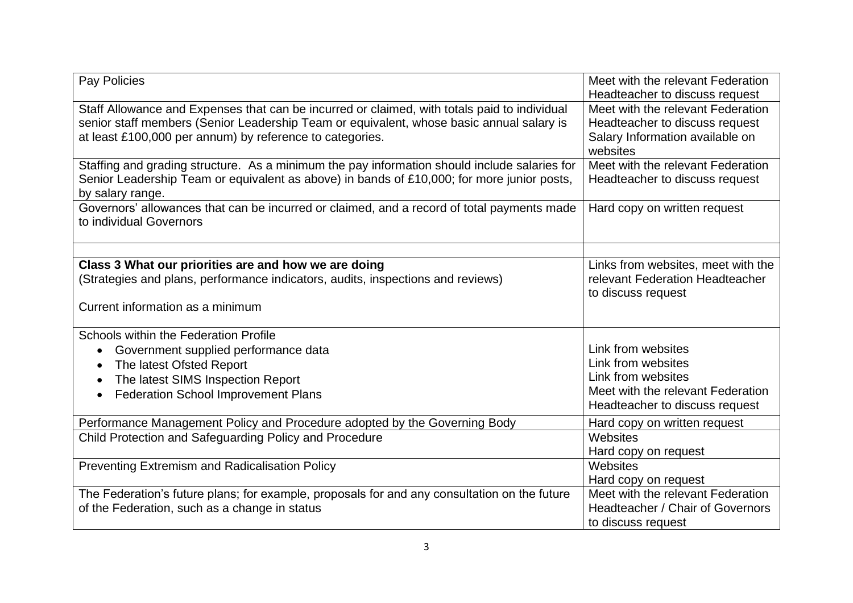| Pay Policies                                                                                                                                                                                                                                         | Meet with the relevant Federation<br>Headteacher to discuss request                                                |
|------------------------------------------------------------------------------------------------------------------------------------------------------------------------------------------------------------------------------------------------------|--------------------------------------------------------------------------------------------------------------------|
| Staff Allowance and Expenses that can be incurred or claimed, with totals paid to individual<br>senior staff members (Senior Leadership Team or equivalent, whose basic annual salary is<br>at least £100,000 per annum) by reference to categories. | Meet with the relevant Federation<br>Headteacher to discuss request<br>Salary Information available on<br>websites |
| Staffing and grading structure. As a minimum the pay information should include salaries for<br>Senior Leadership Team or equivalent as above) in bands of £10,000; for more junior posts,<br>by salary range.                                       | Meet with the relevant Federation<br>Headteacher to discuss request                                                |
| Governors' allowances that can be incurred or claimed, and a record of total payments made<br>to individual Governors                                                                                                                                | Hard copy on written request                                                                                       |
|                                                                                                                                                                                                                                                      |                                                                                                                    |
| Class 3 What our priorities are and how we are doing<br>(Strategies and plans, performance indicators, audits, inspections and reviews)                                                                                                              | Links from websites, meet with the<br>relevant Federation Headteacher<br>to discuss request                        |
| Current information as a minimum                                                                                                                                                                                                                     |                                                                                                                    |
| Schools within the Federation Profile<br>Government supplied performance data<br>$\bullet$<br>The latest Ofsted Report<br>$\bullet$<br>The latest SIMS Inspection Report<br>$\bullet$<br><b>Federation School Improvement Plans</b>                  | Link from websites<br>Link from websites<br>Link from websites<br>Meet with the relevant Federation                |
|                                                                                                                                                                                                                                                      | Headteacher to discuss request                                                                                     |
| Performance Management Policy and Procedure adopted by the Governing Body<br>Child Protection and Safeguarding Policy and Procedure                                                                                                                  | Hard copy on written request<br>Websites<br>Hard copy on request                                                   |
| Preventing Extremism and Radicalisation Policy                                                                                                                                                                                                       | Websites<br>Hard copy on request                                                                                   |
| The Federation's future plans; for example, proposals for and any consultation on the future<br>of the Federation, such as a change in status                                                                                                        | Meet with the relevant Federation<br>Headteacher / Chair of Governors<br>to discuss request                        |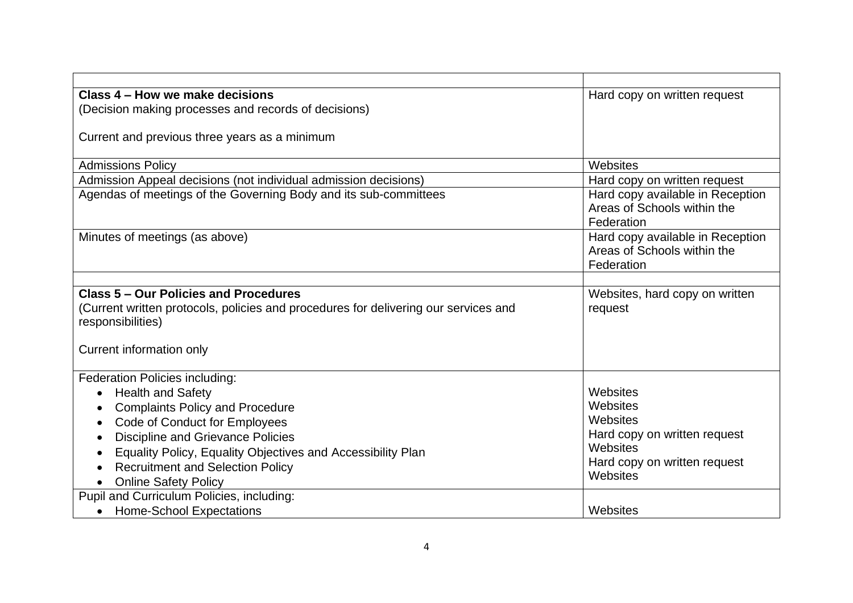| Class 4 – How we make decisions                                                     | Hard copy on written request     |
|-------------------------------------------------------------------------------------|----------------------------------|
| (Decision making processes and records of decisions)                                |                                  |
|                                                                                     |                                  |
| Current and previous three years as a minimum                                       |                                  |
|                                                                                     |                                  |
| <b>Admissions Policy</b>                                                            | Websites                         |
| Admission Appeal decisions (not individual admission decisions)                     | Hard copy on written request     |
| Agendas of meetings of the Governing Body and its sub-committees                    | Hard copy available in Reception |
|                                                                                     | Areas of Schools within the      |
|                                                                                     | Federation                       |
| Minutes of meetings (as above)                                                      | Hard copy available in Reception |
|                                                                                     | Areas of Schools within the      |
|                                                                                     | Federation                       |
|                                                                                     |                                  |
| Class 5 – Our Policies and Procedures                                               | Websites, hard copy on written   |
| (Current written protocols, policies and procedures for delivering our services and | request                          |
| responsibilities)                                                                   |                                  |
|                                                                                     |                                  |
| Current information only                                                            |                                  |
|                                                                                     |                                  |
| <b>Federation Policies including:</b>                                               |                                  |
| <b>Health and Safety</b><br>$\bullet$                                               | Websites                         |
| <b>Complaints Policy and Procedure</b>                                              | Websites                         |
| Code of Conduct for Employees<br>$\bullet$                                          | Websites                         |
| <b>Discipline and Grievance Policies</b>                                            | Hard copy on written request     |
| Equality Policy, Equality Objectives and Accessibility Plan<br>$\bullet$            | Websites                         |
| <b>Recruitment and Selection Policy</b><br>$\bullet$                                | Hard copy on written request     |
| <b>Online Safety Policy</b>                                                         | Websites                         |
| Pupil and Curriculum Policies, including:                                           |                                  |
| <b>Home-School Expectations</b>                                                     | Websites                         |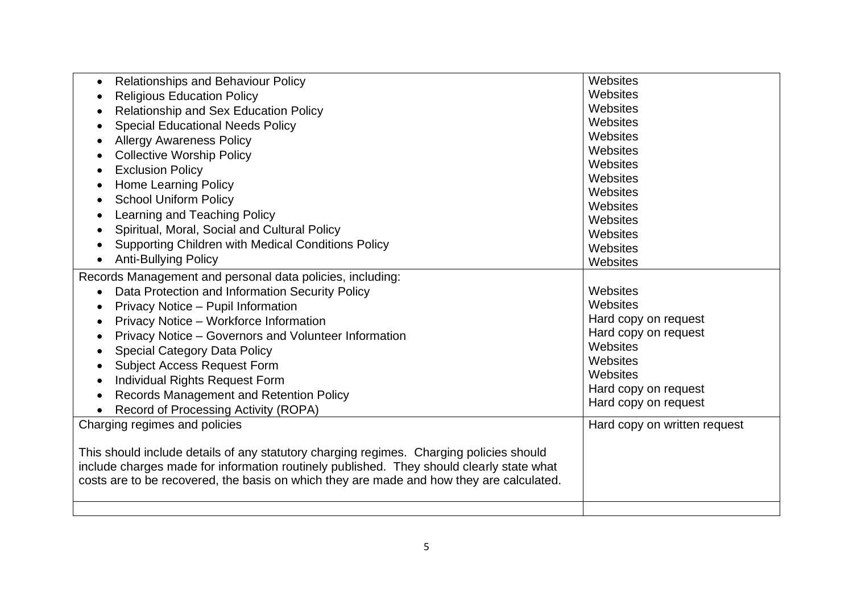| <b>Relationships and Behaviour Policy</b><br>$\bullet$                                   | Websites                     |
|------------------------------------------------------------------------------------------|------------------------------|
| <b>Religious Education Policy</b>                                                        | Websites                     |
| Relationship and Sex Education Policy<br>$\bullet$                                       | Websites                     |
| <b>Special Educational Needs Policy</b>                                                  | Websites                     |
| <b>Allergy Awareness Policy</b>                                                          | Websites                     |
| <b>Collective Worship Policy</b>                                                         | Websites                     |
| <b>Exclusion Policy</b><br>$\bullet$                                                     | Websites                     |
| <b>Home Learning Policy</b><br>٠                                                         | Websites                     |
| <b>School Uniform Policy</b><br>$\bullet$                                                | Websites                     |
| Learning and Teaching Policy<br>$\bullet$                                                | Websites                     |
| Spiritual, Moral, Social and Cultural Policy<br>$\bullet$                                | Websites                     |
| <b>Supporting Children with Medical Conditions Policy</b>                                | Websites                     |
| <b>Anti-Bullying Policy</b>                                                              | Websites                     |
| $\bullet$                                                                                | Websites                     |
| Records Management and personal data policies, including:                                |                              |
| Data Protection and Information Security Policy<br>$\bullet$                             | Websites                     |
| Privacy Notice - Pupil Information<br>$\bullet$                                          | Websites                     |
| Privacy Notice - Workforce Information<br>$\bullet$                                      | Hard copy on request         |
| Privacy Notice - Governors and Volunteer Information<br>$\bullet$                        | Hard copy on request         |
| <b>Special Category Data Policy</b><br>$\bullet$                                         | Websites                     |
| <b>Subject Access Request Form</b><br>$\bullet$                                          | Websites                     |
| Individual Rights Request Form<br>$\bullet$                                              | Websites                     |
| Records Management and Retention Policy<br>$\bullet$                                     | Hard copy on request         |
| Record of Processing Activity (ROPA)                                                     | Hard copy on request         |
| Charging regimes and policies                                                            | Hard copy on written request |
|                                                                                          |                              |
| This should include details of any statutory charging regimes. Charging policies should  |                              |
| include charges made for information routinely published. They should clearly state what |                              |
| costs are to be recovered, the basis on which they are made and how they are calculated. |                              |
|                                                                                          |                              |
|                                                                                          |                              |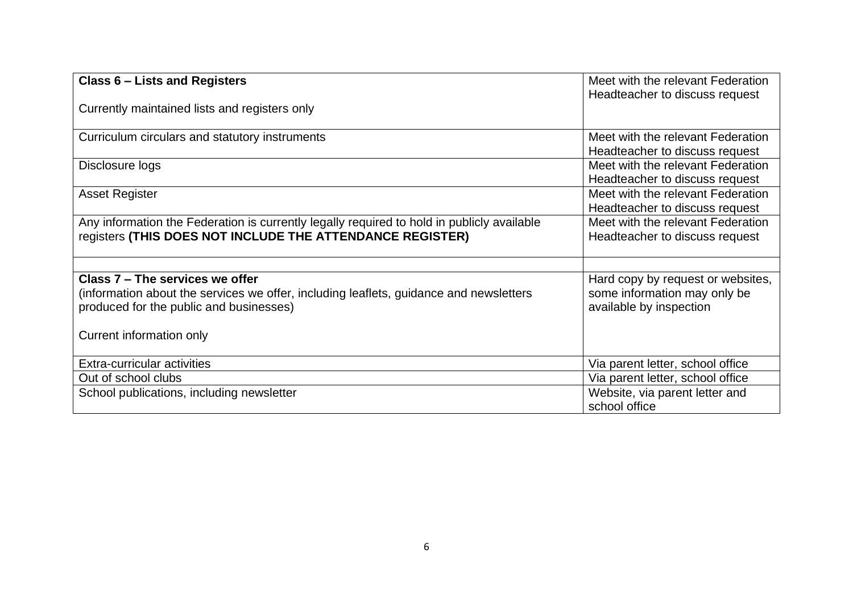| Class 6 – Lists and Registers                                                                                                                                        | Meet with the relevant Federation<br>Headteacher to discuss request                          |
|----------------------------------------------------------------------------------------------------------------------------------------------------------------------|----------------------------------------------------------------------------------------------|
| Currently maintained lists and registers only                                                                                                                        |                                                                                              |
| Curriculum circulars and statutory instruments                                                                                                                       | Meet with the relevant Federation<br>Headteacher to discuss request                          |
| Disclosure logs                                                                                                                                                      | Meet with the relevant Federation<br>Headteacher to discuss request                          |
| <b>Asset Register</b>                                                                                                                                                | Meet with the relevant Federation<br>Headteacher to discuss request                          |
| Any information the Federation is currently legally required to hold in publicly available<br>registers (THIS DOES NOT INCLUDE THE ATTENDANCE REGISTER)              | Meet with the relevant Federation<br>Headteacher to discuss request                          |
|                                                                                                                                                                      |                                                                                              |
| Class 7 – The services we offer<br>(information about the services we offer, including leaflets, guidance and newsletters<br>produced for the public and businesses) | Hard copy by request or websites,<br>some information may only be<br>available by inspection |
| Current information only                                                                                                                                             |                                                                                              |
| Extra-curricular activities                                                                                                                                          | Via parent letter, school office                                                             |
| Out of school clubs                                                                                                                                                  | Via parent letter, school office                                                             |
| School publications, including newsletter                                                                                                                            | Website, via parent letter and<br>school office                                              |